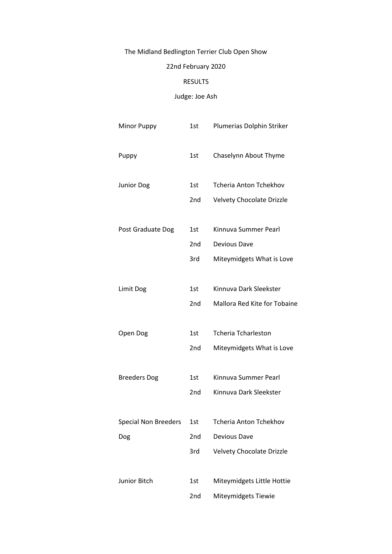## The Midland Bedlington Terrier Club Open Show

## 22nd February 2020

## RESULTS

## Judge: Joe Ash

| <b>Minor Puppy</b>          | 1st             | Plumerias Dolphin Striker        |
|-----------------------------|-----------------|----------------------------------|
| Puppy                       | 1st             | Chaselynn About Thyme            |
| <b>Junior Dog</b>           | 1st             | <b>Tcheria Anton Tchekhov</b>    |
|                             | 2nd             | Velvety Chocolate Drizzle        |
| Post Graduate Dog           | 1st             | Kinnuva Summer Pearl             |
|                             | 2nd             | Devious Dave                     |
|                             | 3rd             | Miteymidgets What is Love        |
| Limit Dog                   | 1st             | Kinnuva Dark Sleekster           |
|                             | 2nd             | Mallora Red Kite for Tobaine     |
| Open Dog                    | 1st             | <b>Tcheria Tcharleston</b>       |
|                             | 2nd             | Miteymidgets What is Love        |
|                             |                 |                                  |
| <b>Breeders Dog</b>         | 1st             | Kinnuva Summer Pearl             |
|                             | 2 <sub>nd</sub> | Kinnuva Dark Sleekster           |
| <b>Special Non Breeders</b> | 1st             | <b>Tcheria Anton Tchekhov</b>    |
| Dog                         | 2nd             | Devious Dave                     |
|                             | 3rd             | <b>Velvety Chocolate Drizzle</b> |
| Junior Bitch                | 1st             | Miteymidgets Little Hottie       |
|                             | 2nd             | Miteymidgets Tiewie              |
|                             |                 |                                  |